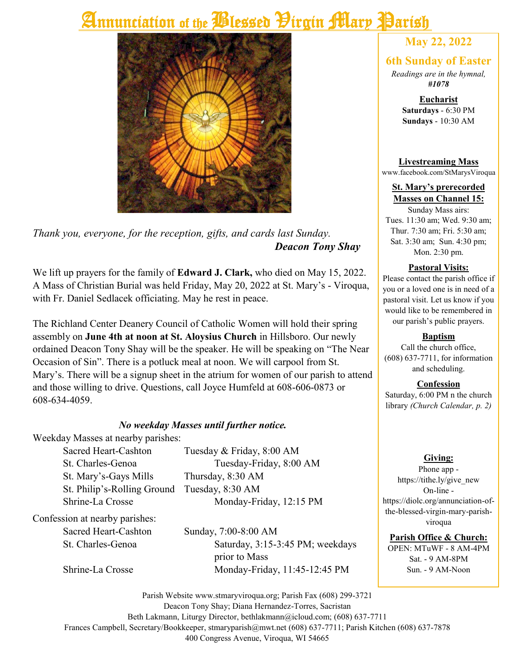# **Annunciation of the Blessed Pirgin Mary Parish**



*Thank you, everyone, for the reception, gifts, and cards last Sunday. Deacon Tony Shay*

We lift up prayers for the family of **Edward J. Clark,** who died on May 15, 2022. A Mass of Christian Burial was held Friday, May 20, 2022 at St. Mary's - Viroqua, with Fr. Daniel Sedlacek officiating. May he rest in peace.

The Richland Center Deanery Council of Catholic Women will hold their spring assembly on **June 4th at noon at St. Aloysius Church** in Hillsboro. Our newly ordained Deacon Tony Shay will be the speaker. He will be speaking on "The Near Occasion of Sin". There is a potluck meal at noon. We will carpool from St. Mary's. There will be a signup sheet in the atrium for women of our parish to attend and those willing to drive. Questions, call Joyce Humfeld at 608-606-0873 or 608-634-4059.

#### *No weekday Masses until further notice.*

Weekday Masses at nearby parishes:

St. Mary's-Gays Mills Thursday, 8:30 AM St. Philip's-Rolling Ground Tuesday, 8:30 AM

Sacred Heart-Cashton Tuesday & Friday, 8:00 AM St. Charles-Genoa Tuesday-Friday, 8:00 AM Shrine-La Crosse Monday-Friday, 12:15 PM

Confession at nearby parishes:

Sacred Heart-Cashton Sunday, 7:00-8:00 AM St. Charles-Genoa Saturday, 3:15-3:45 PM; weekdays prior to Mass Shrine-La Crosse Monday-Friday, 11:45-12:45 PM

### **May 22, 2022**

#### **6th Sunday of Easter**

*Readings are in the hymnal, #1078*

> **Eucharist Saturdays** - 6:30 PM **Sundays** - 10:30 AM

**Livestreaming Mass** www.facebook.com/StMarysViroqua

**St. Mary's prerecorded Masses on Channel 15:**

Sunday Mass airs: Tues. 11:30 am; Wed. 9:30 am; Thur. 7:30 am; Fri. 5:30 am; Sat. 3:30 am; Sun. 4:30 pm; Mon. 2:30 pm.

#### **Pastoral Visits:**

Please contact the parish office if you or a loved one is in need of a pastoral visit. Let us know if you would like to be remembered in our parish's public prayers.

#### **Baptism**

Call the church office, (608) 637-7711, for information and scheduling.

#### **Confession**

Saturday, 6:00 PM n the church library *(Church Calendar, p. 2)*

#### **Giving:**

Phone app https://tithe.ly/give\_new On-line https://diolc.org/annunciation-ofthe-blessed-virgin-mary-parishviroqua

#### **Parish Office & Church:**

OPEN: MTuWF - 8 AM-4PM Sat. - 9 AM-8PM Sun. - 9 AM-Noon

Parish Website www.stmaryviroqua.org; Parish Fax (608) 299-3721 Deacon Tony Shay; Diana Hernandez-Torres, Sacristan Beth Lakmann, Liturgy Director, bethlakmann@icloud.com; (608) 637-7711 Frances Campbell, Secretary/Bookkeeper, stmaryparish@mwt.net (608) 637-7711; Parish Kitchen (608) 637-7878 400 Congress Avenue, Viroqua, WI 54665